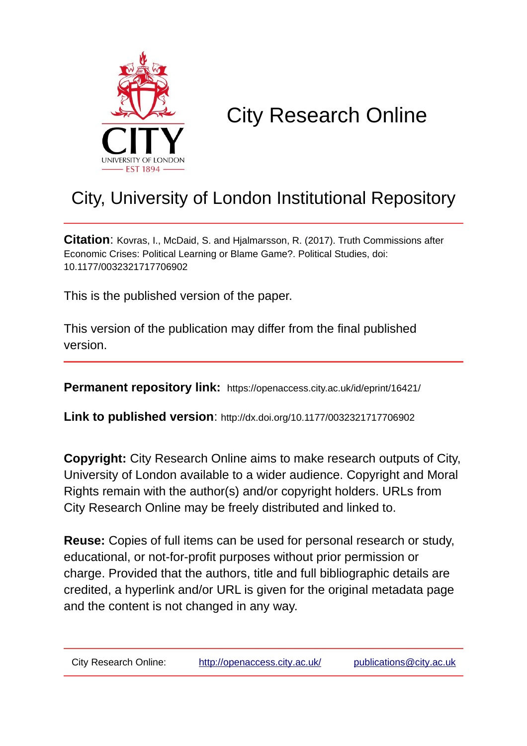

# City Research Online

# City, University of London Institutional Repository

**Citation**: Kovras, I., McDaid, S. and Hjalmarsson, R. (2017). Truth Commissions after Economic Crises: Political Learning or Blame Game?. Political Studies, doi: 10.1177/0032321717706902

This is the published version of the paper.

This version of the publication may differ from the final published version.

**Permanent repository link:** https://openaccess.city.ac.uk/id/eprint/16421/

**Link to published version**: http://dx.doi.org/10.1177/0032321717706902

**Copyright:** City Research Online aims to make research outputs of City, University of London available to a wider audience. Copyright and Moral Rights remain with the author(s) and/or copyright holders. URLs from City Research Online may be freely distributed and linked to.

**Reuse:** Copies of full items can be used for personal research or study, educational, or not-for-profit purposes without prior permission or charge. Provided that the authors, title and full bibliographic details are credited, a hyperlink and/or URL is given for the original metadata page and the content is not changed in any way.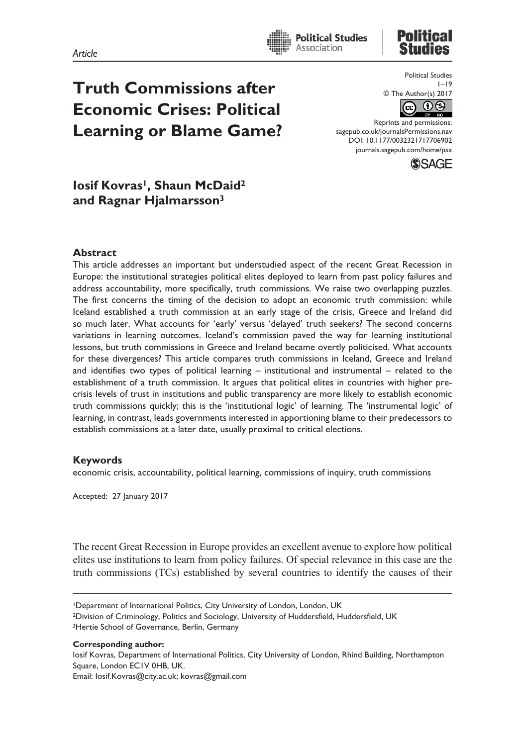



# **Truth Commissions after Economic Crises: Political Learning or Blame Game?**

Political Studies 1–19 © The Author(s) 2017 രെ (cc

DOI: 10.1177/0032321717706902 Reprints and permissions: [sagepub.co.uk/journalsPermissions.nav](https://uk.sagepub.com/en-gb/journals-permissions) [journals.sagepub.com/home/psx](https://journals.sagepub.com/home/psx)



# **Iosif Kovras<sup>1</sup>, Shaun McDaid<sup>2</sup> and Ragnar Hjalmarsson3**

#### **Abstract**

This article addresses an important but understudied aspect of the recent Great Recession in Europe: the institutional strategies political elites deployed to learn from past policy failures and address accountability, more specifically, truth commissions. We raise two overlapping puzzles. The first concerns the timing of the decision to adopt an economic truth commission: while Iceland established a truth commission at an early stage of the crisis, Greece and Ireland did so much later. What accounts for 'early' versus 'delayed' truth seekers? The second concerns variations in learning outcomes. Iceland's commission paved the way for learning institutional lessons, but truth commissions in Greece and Ireland became overtly politicised. What accounts for these divergences? This article compares truth commissions in Iceland, Greece and Ireland and identifies two types of political learning – institutional and instrumental – related to the establishment of a truth commission. It argues that political elites in countries with higher precrisis levels of trust in institutions and public transparency are more likely to establish economic truth commissions quickly; this is the 'institutional logic' of learning. The 'instrumental logic' of learning, in contrast, leads governments interested in apportioning blame to their predecessors to establish commissions at a later date, usually proximal to critical elections.

#### **Keywords**

economic crisis, accountability, political learning, commissions of inquiry, truth commissions

Accepted: 27 January 2017

The recent Great Recession in Europe provides an excellent avenue to explore how political elites use institutions to learn from policy failures. Of special relevance in this case are the truth commissions (TCs) established by several countries to identify the causes of their

#### **Corresponding author:**

Iosif Kovras, Department of International Politics, City University of London, Rhind Building, Northampton Square, London EC1V 0HB, UK.

Email: [Iosif.Kovras@city.ac.uk;](mailto:Iosif.Kovras@city.ac.uk) [kovras@gmail.com](mailto:kovras@gmail.com)

<sup>1</sup>Department of International Politics, City University of London, London, UK <sup>2</sup>Division of Criminology, Politics and Sociology, University of Huddersfield, Huddersfield, UK <sup>3</sup>Hertie School of Governance, Berlin, Germany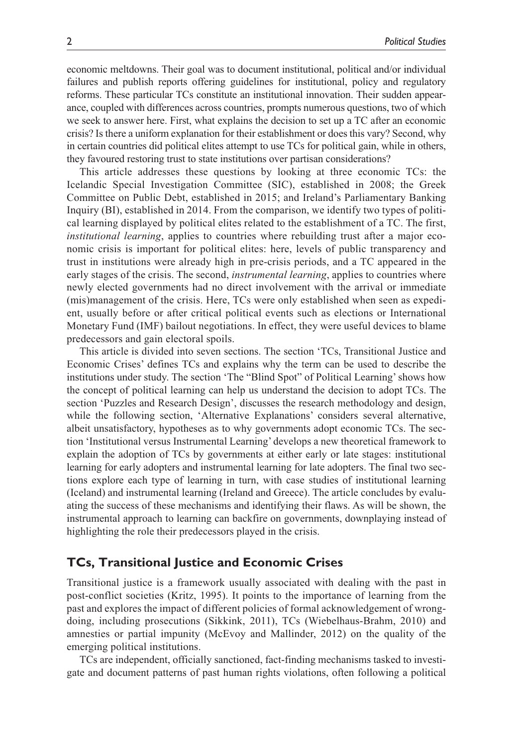economic meltdowns. Their goal was to document institutional, political and/or individual failures and publish reports offering guidelines for institutional, policy and regulatory reforms. These particular TCs constitute an institutional innovation. Their sudden appearance, coupled with differences across countries, prompts numerous questions, two of which we seek to answer here. First, what explains the decision to set up a TC after an economic crisis? Is there a uniform explanation for their establishment or does this vary? Second, why in certain countries did political elites attempt to use TCs for political gain, while in others, they favoured restoring trust to state institutions over partisan considerations?

This article addresses these questions by looking at three economic TCs: the Icelandic Special Investigation Committee (SIC), established in 2008; the Greek Committee on Public Debt, established in 2015; and Ireland's Parliamentary Banking Inquiry (BI), established in 2014. From the comparison, we identify two types of political learning displayed by political elites related to the establishment of a TC. The first, *institutional learning*, applies to countries where rebuilding trust after a major economic crisis is important for political elites: here, levels of public transparency and trust in institutions were already high in pre-crisis periods, and a TC appeared in the early stages of the crisis. The second, *instrumental learning*, applies to countries where newly elected governments had no direct involvement with the arrival or immediate (mis)management of the crisis. Here, TCs were only established when seen as expedient, usually before or after critical political events such as elections or International Monetary Fund (IMF) bailout negotiations. In effect, they were useful devices to blame predecessors and gain electoral spoils.

This article is divided into seven sections. The section 'TCs, Transitional Justice and Economic Crises' defines TCs and explains why the term can be used to describe the institutions under study. The section 'The "Blind Spot" of Political Learning' shows how the concept of political learning can help us understand the decision to adopt TCs. The section 'Puzzles and Research Design', discusses the research methodology and design, while the following section, 'Alternative Explanations' considers several alternative, albeit unsatisfactory, hypotheses as to why governments adopt economic TCs. The section 'Institutional versus Instrumental Learning' develops a new theoretical framework to explain the adoption of TCs by governments at either early or late stages: institutional learning for early adopters and instrumental learning for late adopters. The final two sections explore each type of learning in turn, with case studies of institutional learning (Iceland) and instrumental learning (Ireland and Greece). The article concludes by evaluating the success of these mechanisms and identifying their flaws. As will be shown, the instrumental approach to learning can backfire on governments, downplaying instead of highlighting the role their predecessors played in the crisis.

# **TCs, Transitional Justice and Economic Crises**

Transitional justice is a framework usually associated with dealing with the past in post-conflict societies (Kritz, 1995). It points to the importance of learning from the past and explores the impact of different policies of formal acknowledgement of wrongdoing, including prosecutions (Sikkink, 2011), TCs (Wiebelhaus-Brahm, 2010) and amnesties or partial impunity (McEvoy and Mallinder, 2012) on the quality of the emerging political institutions.

TCs are independent, officially sanctioned, fact-finding mechanisms tasked to investigate and document patterns of past human rights violations, often following a political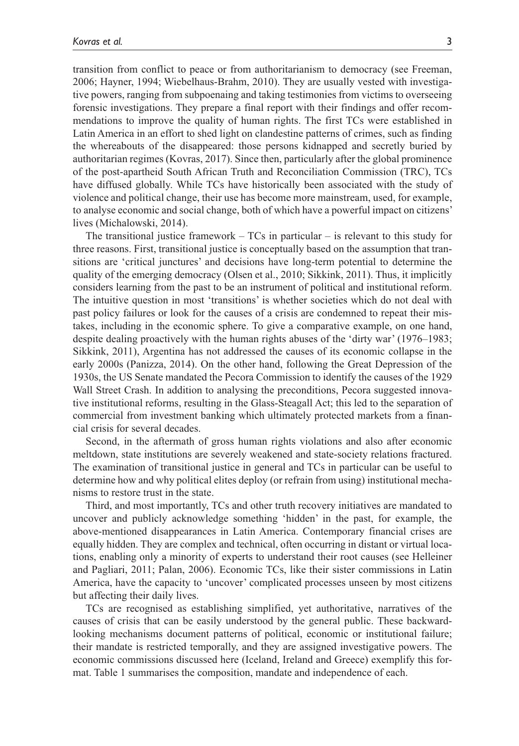transition from conflict to peace or from authoritarianism to democracy (see Freeman, 2006; Hayner, 1994; Wiebelhaus-Brahm, 2010). They are usually vested with investigative powers, ranging from subpoenaing and taking testimonies from victims to overseeing forensic investigations. They prepare a final report with their findings and offer recommendations to improve the quality of human rights. The first TCs were established in Latin America in an effort to shed light on clandestine patterns of crimes, such as finding the whereabouts of the disappeared: those persons kidnapped and secretly buried by authoritarian regimes (Kovras, 2017). Since then, particularly after the global prominence of the post-apartheid South African Truth and Reconciliation Commission (TRC), TCs have diffused globally. While TCs have historically been associated with the study of violence and political change, their use has become more mainstream, used, for example, to analyse economic and social change, both of which have a powerful impact on citizens' lives (Michalowski, 2014).

The transitional justice framework  $-$  TCs in particular  $-$  is relevant to this study for three reasons. First, transitional justice is conceptually based on the assumption that transitions are 'critical junctures' and decisions have long-term potential to determine the quality of the emerging democracy (Olsen et al., 2010; Sikkink, 2011). Thus, it implicitly considers learning from the past to be an instrument of political and institutional reform. The intuitive question in most 'transitions' is whether societies which do not deal with past policy failures or look for the causes of a crisis are condemned to repeat their mistakes, including in the economic sphere. To give a comparative example, on one hand, despite dealing proactively with the human rights abuses of the 'dirty war' (1976–1983; Sikkink, 2011), Argentina has not addressed the causes of its economic collapse in the early 2000s (Panizza, 2014). On the other hand, following the Great Depression of the 1930s, the US Senate mandated the Pecora Commission to identify the causes of the 1929 Wall Street Crash. In addition to analysing the preconditions, Pecora suggested innovative institutional reforms, resulting in the Glass-Steagall Act; this led to the separation of commercial from investment banking which ultimately protected markets from a financial crisis for several decades.

Second, in the aftermath of gross human rights violations and also after economic meltdown, state institutions are severely weakened and state-society relations fractured. The examination of transitional justice in general and TCs in particular can be useful to determine how and why political elites deploy (or refrain from using) institutional mechanisms to restore trust in the state.

Third, and most importantly, TCs and other truth recovery initiatives are mandated to uncover and publicly acknowledge something 'hidden' in the past, for example, the above-mentioned disappearances in Latin America. Contemporary financial crises are equally hidden. They are complex and technical, often occurring in distant or virtual locations, enabling only a minority of experts to understand their root causes (see Helleiner and Pagliari, 2011; Palan, 2006). Economic TCs, like their sister commissions in Latin America, have the capacity to 'uncover' complicated processes unseen by most citizens but affecting their daily lives.

TCs are recognised as establishing simplified, yet authoritative, narratives of the causes of crisis that can be easily understood by the general public. These backwardlooking mechanisms document patterns of political, economic or institutional failure; their mandate is restricted temporally, and they are assigned investigative powers. The economic commissions discussed here (Iceland, Ireland and Greece) exemplify this format. Table 1 summarises the composition, mandate and independence of each.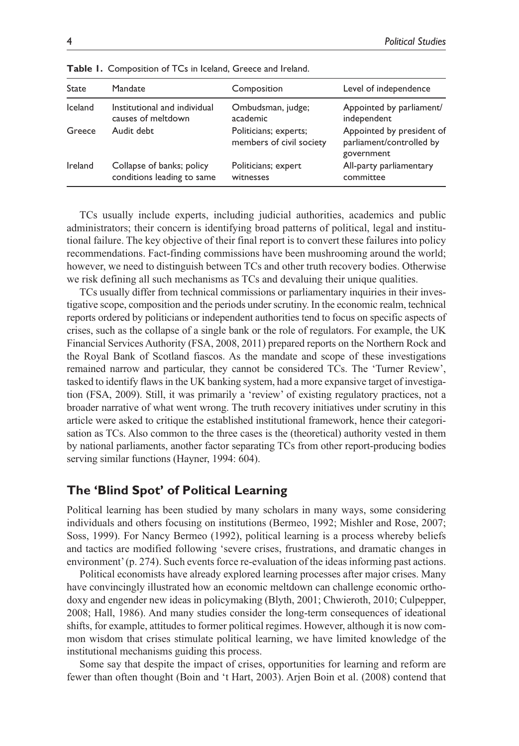| <b>State</b> | Mandate                      | Composition                                       | Level of independence                                               |
|--------------|------------------------------|---------------------------------------------------|---------------------------------------------------------------------|
| Iceland      | Institutional and individual | Ombudsman, judge;                                 | Appointed by parliament/                                            |
|              | causes of meltdown           | academic                                          | independent                                                         |
| Greece       | Audit debt                   | Politicians; experts;<br>members of civil society | Appointed by president of<br>parliament/controlled by<br>government |
| Ireland      | Collapse of banks; policy    | Politicians; expert                               | All-party parliamentary                                             |
|              | conditions leading to same   | witnesses                                         | committee                                                           |

**Table 1.** Composition of TCs in Iceland, Greece and Ireland.

TCs usually include experts, including judicial authorities, academics and public administrators; their concern is identifying broad patterns of political, legal and institutional failure. The key objective of their final report is to convert these failures into policy recommendations. Fact-finding commissions have been mushrooming around the world; however, we need to distinguish between TCs and other truth recovery bodies. Otherwise we risk defining all such mechanisms as TCs and devaluing their unique qualities.

TCs usually differ from technical commissions or parliamentary inquiries in their investigative scope, composition and the periods under scrutiny. In the economic realm, technical reports ordered by politicians or independent authorities tend to focus on specific aspects of crises, such as the collapse of a single bank or the role of regulators. For example, the UK Financial Services Authority (FSA, 2008, 2011) prepared reports on the Northern Rock and the Royal Bank of Scotland fiascos. As the mandate and scope of these investigations remained narrow and particular, they cannot be considered TCs. The 'Turner Review', tasked to identify flaws in the UK banking system, had a more expansive target of investigation (FSA, 2009). Still, it was primarily a 'review' of existing regulatory practices, not a broader narrative of what went wrong. The truth recovery initiatives under scrutiny in this article were asked to critique the established institutional framework, hence their categorisation as TCs. Also common to the three cases is the (theoretical) authority vested in them by national parliaments, another factor separating TCs from other report-producing bodies serving similar functions (Hayner, 1994: 604).

## **The 'Blind Spot' of Political Learning**

Political learning has been studied by many scholars in many ways, some considering individuals and others focusing on institutions (Bermeo, 1992; Mishler and Rose, 2007; Soss, 1999). For Nancy Bermeo (1992), political learning is a process whereby beliefs and tactics are modified following 'severe crises, frustrations, and dramatic changes in environment' (p. 274). Such events force re-evaluation of the ideas informing past actions.

Political economists have already explored learning processes after major crises. Many have convincingly illustrated how an economic meltdown can challenge economic orthodoxy and engender new ideas in policymaking (Blyth, 2001; Chwieroth, 2010; Culpepper, 2008; Hall, 1986). And many studies consider the long-term consequences of ideational shifts, for example, attitudes to former political regimes. However, although it is now common wisdom that crises stimulate political learning, we have limited knowledge of the institutional mechanisms guiding this process.

Some say that despite the impact of crises, opportunities for learning and reform are fewer than often thought (Boin and 't Hart, 2003). Arjen Boin et al. (2008) contend that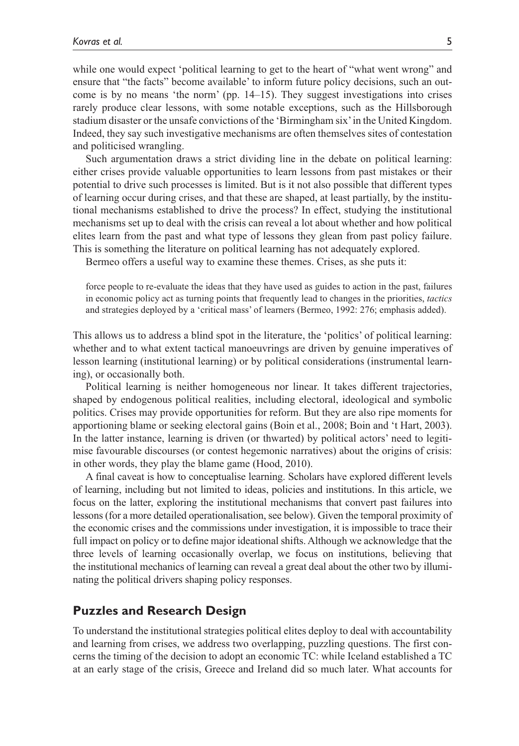while one would expect 'political learning to get to the heart of "what went wrong" and ensure that "the facts" become available' to inform future policy decisions, such an outcome is by no means 'the norm' (pp. 14–15). They suggest investigations into crises rarely produce clear lessons, with some notable exceptions, such as the Hillsborough stadium disaster or the unsafe convictions of the 'Birmingham six' in the United Kingdom. Indeed, they say such investigative mechanisms are often themselves sites of contestation and politicised wrangling.

Such argumentation draws a strict dividing line in the debate on political learning: either crises provide valuable opportunities to learn lessons from past mistakes or their potential to drive such processes is limited. But is it not also possible that different types of learning occur during crises, and that these are shaped, at least partially, by the institutional mechanisms established to drive the process? In effect, studying the institutional mechanisms set up to deal with the crisis can reveal a lot about whether and how political elites learn from the past and what type of lessons they glean from past policy failure. This is something the literature on political learning has not adequately explored.

Bermeo offers a useful way to examine these themes. Crises, as she puts it:

force people to re-evaluate the ideas that they have used as guides to action in the past, failures in economic policy act as turning points that frequently lead to changes in the priorities, *tactics* and strategies deployed by a 'critical mass' of learners (Bermeo, 1992: 276; emphasis added).

This allows us to address a blind spot in the literature, the 'politics' of political learning: whether and to what extent tactical manoeuvrings are driven by genuine imperatives of lesson learning (institutional learning) or by political considerations (instrumental learning), or occasionally both.

Political learning is neither homogeneous nor linear. It takes different trajectories, shaped by endogenous political realities, including electoral, ideological and symbolic politics. Crises may provide opportunities for reform. But they are also ripe moments for apportioning blame or seeking electoral gains (Boin et al., 2008; Boin and 't Hart, 2003). In the latter instance, learning is driven (or thwarted) by political actors' need to legitimise favourable discourses (or contest hegemonic narratives) about the origins of crisis: in other words, they play the blame game (Hood, 2010).

A final caveat is how to conceptualise learning. Scholars have explored different levels of learning, including but not limited to ideas, policies and institutions. In this article, we focus on the latter, exploring the institutional mechanisms that convert past failures into lessons (for a more detailed operationalisation, see below). Given the temporal proximity of the economic crises and the commissions under investigation, it is impossible to trace their full impact on policy or to define major ideational shifts. Although we acknowledge that the three levels of learning occasionally overlap, we focus on institutions, believing that the institutional mechanics of learning can reveal a great deal about the other two by illuminating the political drivers shaping policy responses.

### **Puzzles and Research Design**

To understand the institutional strategies political elites deploy to deal with accountability and learning from crises, we address two overlapping, puzzling questions. The first concerns the timing of the decision to adopt an economic TC: while Iceland established a TC at an early stage of the crisis, Greece and Ireland did so much later. What accounts for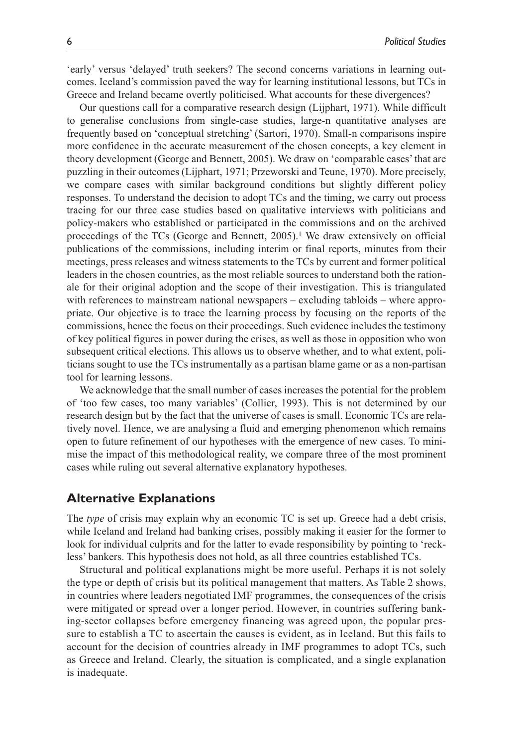'early' versus 'delayed' truth seekers? The second concerns variations in learning outcomes. Iceland's commission paved the way for learning institutional lessons, but TCs in Greece and Ireland became overtly politicised. What accounts for these divergences?

Our questions call for a comparative research design (Lijphart, 1971). While difficult to generalise conclusions from single-case studies, large-n quantitative analyses are frequently based on 'conceptual stretching' (Sartori, 1970). Small-n comparisons inspire more confidence in the accurate measurement of the chosen concepts, a key element in theory development (George and Bennett, 2005). We draw on 'comparable cases' that are puzzling in their outcomes (Lijphart, 1971; Przeworski and Teune, 1970). More precisely, we compare cases with similar background conditions but slightly different policy responses. To understand the decision to adopt TCs and the timing, we carry out process tracing for our three case studies based on qualitative interviews with politicians and policy-makers who established or participated in the commissions and on the archived proceedings of the TCs (George and Bennett, 2005).<sup>1</sup> We draw extensively on official publications of the commissions, including interim or final reports, minutes from their meetings, press releases and witness statements to the TCs by current and former political leaders in the chosen countries, as the most reliable sources to understand both the rationale for their original adoption and the scope of their investigation. This is triangulated with references to mainstream national newspapers – excluding tabloids – where appropriate. Our objective is to trace the learning process by focusing on the reports of the commissions, hence the focus on their proceedings. Such evidence includes the testimony of key political figures in power during the crises, as well as those in opposition who won subsequent critical elections. This allows us to observe whether, and to what extent, politicians sought to use the TCs instrumentally as a partisan blame game or as a non-partisan tool for learning lessons.

We acknowledge that the small number of cases increases the potential for the problem of 'too few cases, too many variables' (Collier, 1993). This is not determined by our research design but by the fact that the universe of cases is small. Economic TCs are relatively novel. Hence, we are analysing a fluid and emerging phenomenon which remains open to future refinement of our hypotheses with the emergence of new cases. To minimise the impact of this methodological reality, we compare three of the most prominent cases while ruling out several alternative explanatory hypotheses.

# **Alternative Explanations**

The *type* of crisis may explain why an economic TC is set up. Greece had a debt crisis, while Iceland and Ireland had banking crises, possibly making it easier for the former to look for individual culprits and for the latter to evade responsibility by pointing to 'reckless' bankers. This hypothesis does not hold, as all three countries established TCs.

Structural and political explanations might be more useful. Perhaps it is not solely the type or depth of crisis but its political management that matters. As Table 2 shows, in countries where leaders negotiated IMF programmes, the consequences of the crisis were mitigated or spread over a longer period. However, in countries suffering banking-sector collapses before emergency financing was agreed upon, the popular pressure to establish a TC to ascertain the causes is evident, as in Iceland. But this fails to account for the decision of countries already in IMF programmes to adopt TCs, such as Greece and Ireland. Clearly, the situation is complicated, and a single explanation is inadequate.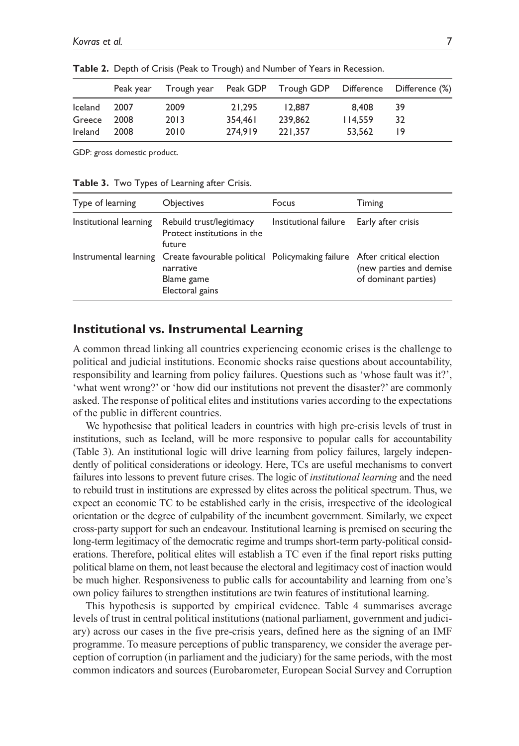|         | Peak year |      |         |         |         | Trough year Peak GDP Trough GDP Difference Difference (%) |
|---------|-----------|------|---------|---------|---------|-----------------------------------------------------------|
| Iceland | 2007      | 2009 | 21.295  | 12.887  | 8.408   | -39                                                       |
| Greece  | 2008      | 2013 | 354.461 | 239.862 | 114.559 | -32                                                       |
| Ireland | 2008      | 2010 | 274.919 | 221.357 | 53.562  | 19                                                        |

**Table 2.** Depth of Crisis (Peak to Trough) and Number of Years in Recession.

GDP: gross domestic product.

**Table 3.** Two Types of Learning after Crisis.

Type of learning Chectives **Focus** Focus Timing Institutional learning Rebuild trust/legitimacy Protect institutions in the future Institutional failure Early after crisis Instrumental learning Create favourable political Policymaking failure After critical election narrative Blame game Electoral gains (new parties and demise of dominant parties)

# **Institutional vs. Instrumental Learning**

A common thread linking all countries experiencing economic crises is the challenge to political and judicial institutions. Economic shocks raise questions about accountability, responsibility and learning from policy failures. Questions such as 'whose fault was it?', 'what went wrong?' or 'how did our institutions not prevent the disaster?' are commonly asked. The response of political elites and institutions varies according to the expectations of the public in different countries.

We hypothesise that political leaders in countries with high pre-crisis levels of trust in institutions, such as Iceland, will be more responsive to popular calls for accountability (Table 3). An institutional logic will drive learning from policy failures, largely independently of political considerations or ideology. Here, TCs are useful mechanisms to convert failures into lessons to prevent future crises. The logic of *institutional learning* and the need to rebuild trust in institutions are expressed by elites across the political spectrum. Thus, we expect an economic TC to be established early in the crisis, irrespective of the ideological orientation or the degree of culpability of the incumbent government. Similarly, we expect cross-party support for such an endeavour. Institutional learning is premised on securing the long-term legitimacy of the democratic regime and trumps short-term party-political considerations. Therefore, political elites will establish a TC even if the final report risks putting political blame on them, not least because the electoral and legitimacy cost of inaction would be much higher. Responsiveness to public calls for accountability and learning from one's own policy failures to strengthen institutions are twin features of institutional learning.

This hypothesis is supported by empirical evidence. Table 4 summarises average levels of trust in central political institutions (national parliament, government and judiciary) across our cases in the five pre-crisis years, defined here as the signing of an IMF programme. To measure perceptions of public transparency, we consider the average perception of corruption (in parliament and the judiciary) for the same periods, with the most common indicators and sources (Eurobarometer, European Social Survey and Corruption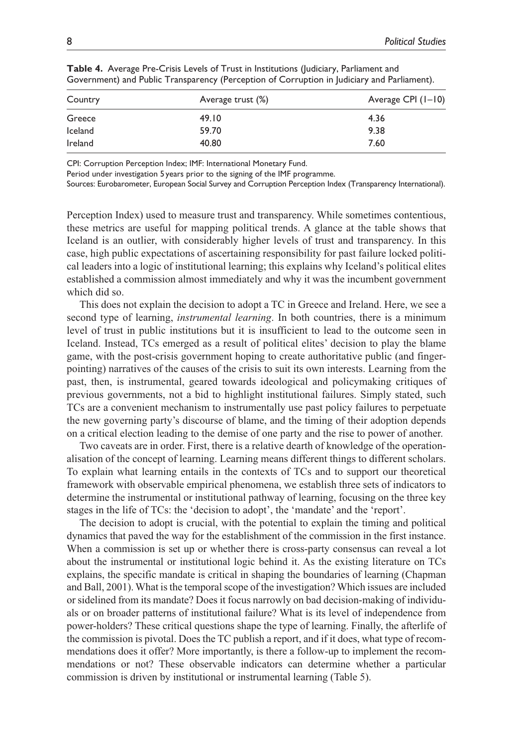| Country | Average trust (%) | Average CPI $(I-I0)$ |  |
|---------|-------------------|----------------------|--|
| Greece  | 49.10             | 4.36                 |  |
| Iceland | 59.70             | 9.38                 |  |
| Ireland | 40.80             | 7.60                 |  |

**Table 4.** Average Pre-Crisis Levels of Trust in Institutions (Judiciary, Parliament and Government) and Public Transparency (Perception of Corruption in Judiciary and Parliament).

CPI: Corruption Perception Index; IMF: International Monetary Fund.

Period under investigation 5 years prior to the signing of the IMF programme.

Sources: Eurobarometer, European Social Survey and Corruption Perception Index (Transparency International).

Perception Index) used to measure trust and transparency. While sometimes contentious, these metrics are useful for mapping political trends. A glance at the table shows that Iceland is an outlier, with considerably higher levels of trust and transparency. In this case, high public expectations of ascertaining responsibility for past failure locked political leaders into a logic of institutional learning; this explains why Iceland's political elites established a commission almost immediately and why it was the incumbent government which did so.

This does not explain the decision to adopt a TC in Greece and Ireland. Here, we see a second type of learning, *instrumental learning*. In both countries, there is a minimum level of trust in public institutions but it is insufficient to lead to the outcome seen in Iceland. Instead, TCs emerged as a result of political elites' decision to play the blame game, with the post-crisis government hoping to create authoritative public (and fingerpointing) narratives of the causes of the crisis to suit its own interests. Learning from the past, then, is instrumental, geared towards ideological and policymaking critiques of previous governments, not a bid to highlight institutional failures. Simply stated, such TCs are a convenient mechanism to instrumentally use past policy failures to perpetuate the new governing party's discourse of blame, and the timing of their adoption depends on a critical election leading to the demise of one party and the rise to power of another.

Two caveats are in order. First, there is a relative dearth of knowledge of the operationalisation of the concept of learning. Learning means different things to different scholars. To explain what learning entails in the contexts of TCs and to support our theoretical framework with observable empirical phenomena, we establish three sets of indicators to determine the instrumental or institutional pathway of learning, focusing on the three key stages in the life of TCs: the 'decision to adopt', the 'mandate' and the 'report'.

The decision to adopt is crucial, with the potential to explain the timing and political dynamics that paved the way for the establishment of the commission in the first instance. When a commission is set up or whether there is cross-party consensus can reveal a lot about the instrumental or institutional logic behind it. As the existing literature on TCs explains, the specific mandate is critical in shaping the boundaries of learning (Chapman and Ball, 2001). What is the temporal scope of the investigation? Which issues are included or sidelined from its mandate? Does it focus narrowly on bad decision-making of individuals or on broader patterns of institutional failure? What is its level of independence from power-holders? These critical questions shape the type of learning. Finally, the afterlife of the commission is pivotal. Does the TC publish a report, and if it does, what type of recommendations does it offer? More importantly, is there a follow-up to implement the recommendations or not? These observable indicators can determine whether a particular commission is driven by institutional or instrumental learning (Table 5).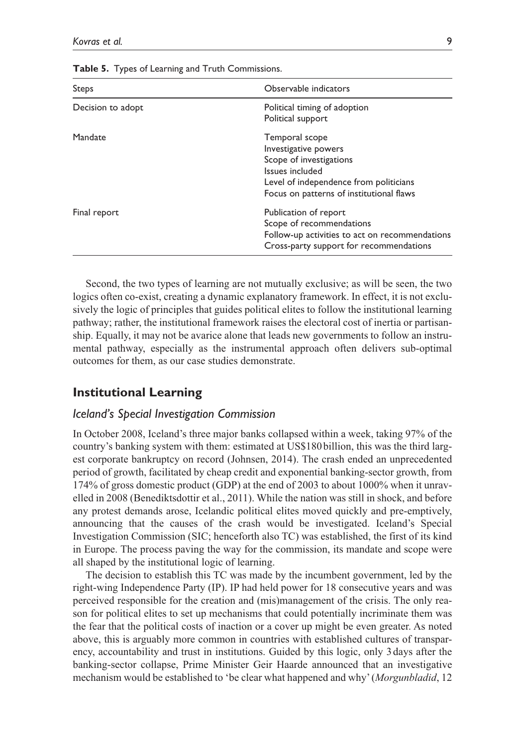| <b>Steps</b>      | Observable indicators                          |  |  |  |
|-------------------|------------------------------------------------|--|--|--|
|                   |                                                |  |  |  |
| Decision to adopt | Political timing of adoption                   |  |  |  |
|                   | Political support                              |  |  |  |
| Mandate           | Temporal scope                                 |  |  |  |
|                   | Investigative powers                           |  |  |  |
|                   | Scope of investigations                        |  |  |  |
|                   | Issues included                                |  |  |  |
|                   | Level of independence from politicians         |  |  |  |
|                   | Focus on patterns of institutional flaws       |  |  |  |
| Final report      | Publication of report                          |  |  |  |
|                   | Scope of recommendations                       |  |  |  |
|                   | Follow-up activities to act on recommendations |  |  |  |
|                   | Cross-party support for recommendations        |  |  |  |

|  |  |  |  |  | Table 5. Types of Learning and Truth Commissions. |
|--|--|--|--|--|---------------------------------------------------|
|--|--|--|--|--|---------------------------------------------------|

Second, the two types of learning are not mutually exclusive; as will be seen, the two logics often co-exist, creating a dynamic explanatory framework. In effect, it is not exclusively the logic of principles that guides political elites to follow the institutional learning pathway; rather, the institutional framework raises the electoral cost of inertia or partisanship. Equally, it may not be avarice alone that leads new governments to follow an instrumental pathway, especially as the instrumental approach often delivers sub-optimal outcomes for them, as our case studies demonstrate.

### **Institutional Learning**

#### *Iceland's Special Investigation Commission*

In October 2008, Iceland's three major banks collapsed within a week, taking 97% of the country's banking system with them: estimated at US\$180billion, this was the third largest corporate bankruptcy on record (Johnsen, 2014). The crash ended an unprecedented period of growth, facilitated by cheap credit and exponential banking-sector growth, from 174% of gross domestic product (GDP) at the end of 2003 to about 1000% when it unravelled in 2008 (Benediktsdottir et al., 2011). While the nation was still in shock, and before any protest demands arose, Icelandic political elites moved quickly and pre-emptively, announcing that the causes of the crash would be investigated. Iceland's Special Investigation Commission (SIC; henceforth also TC) was established, the first of its kind in Europe. The process paving the way for the commission, its mandate and scope were all shaped by the institutional logic of learning.

The decision to establish this TC was made by the incumbent government, led by the right-wing Independence Party (IP). IP had held power for 18 consecutive years and was perceived responsible for the creation and (mis)management of the crisis. The only reason for political elites to set up mechanisms that could potentially incriminate them was the fear that the political costs of inaction or a cover up might be even greater. As noted above, this is arguably more common in countries with established cultures of transparency, accountability and trust in institutions. Guided by this logic, only 3 days after the banking-sector collapse, Prime Minister Geir Haarde announced that an investigative mechanism would be established to 'be clear what happened and why' (*Morgunbladid*, 12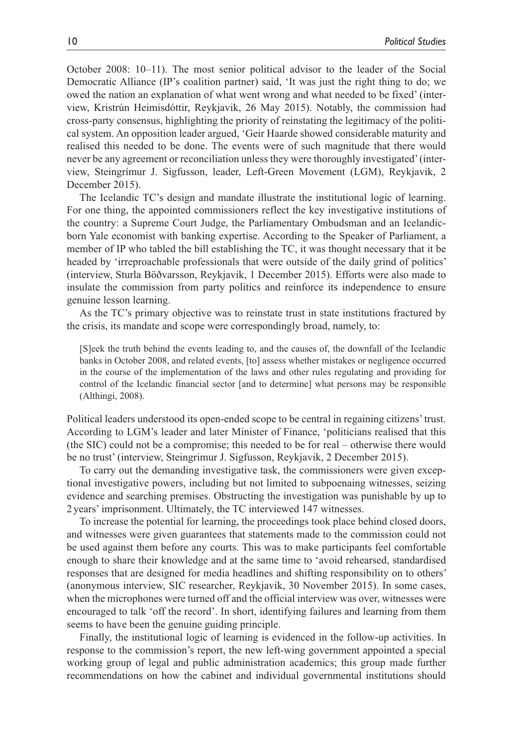October 2008: 10–11). The most senior political advisor to the leader of the Social Democratic Alliance (IP's coalition partner) said, 'It was just the right thing to do; we owed the nation an explanation of what went wrong and what needed to be fixed' (interview, Kristrún Heimisdóttir, Reykjavik, 26 May 2015). Notably, the commission had cross-party consensus, highlighting the priority of reinstating the legitimacy of the political system. An opposition leader argued, 'Geir Haarde showed considerable maturity and realised this needed to be done. The events were of such magnitude that there would never be any agreement or reconciliation unless they were thoroughly investigated' (interview, Steingrímur J. Sigfusson, leader, Left-Green Movement (LGM), Reykjavik, 2 December 2015).

The Icelandic TC's design and mandate illustrate the institutional logic of learning. For one thing, the appointed commissioners reflect the key investigative institutions of the country: a Supreme Court Judge, the Parliamentary Ombudsman and an Icelandicborn Yale economist with banking expertise. According to the Speaker of Parliament, a member of IP who tabled the bill establishing the TC, it was thought necessary that it be headed by 'irreproachable professionals that were outside of the daily grind of politics' (interview, Sturla Böðvarsson, Reykjavik, 1 December 2015). Efforts were also made to insulate the commission from party politics and reinforce its independence to ensure genuine lesson learning.

As the TC's primary objective was to reinstate trust in state institutions fractured by the crisis, its mandate and scope were correspondingly broad, namely, to:

[S]eek the truth behind the events leading to, and the causes of, the downfall of the Icelandic banks in October 2008, and related events, [to] assess whether mistakes or negligence occurred in the course of the implementation of the laws and other rules regulating and providing for control of the Icelandic financial sector [and to determine] what persons may be responsible (Althingi, 2008).

Political leaders understood its open-ended scope to be central in regaining citizens' trust. According to LGM's leader and later Minister of Finance, 'politicians realised that this (the SIC) could not be a compromise; this needed to be for real – otherwise there would be no trust' (interview, Steingrimur J. Sigfusson, Reykjavik, 2 December 2015).

To carry out the demanding investigative task, the commissioners were given exceptional investigative powers, including but not limited to subpoenaing witnesses, seizing evidence and searching premises. Obstructing the investigation was punishable by up to 2 years' imprisonment. Ultimately, the TC interviewed 147 witnesses.

To increase the potential for learning, the proceedings took place behind closed doors, and witnesses were given guarantees that statements made to the commission could not be used against them before any courts. This was to make participants feel comfortable enough to share their knowledge and at the same time to 'avoid rehearsed, standardised responses that are designed for media headlines and shifting responsibility on to others' (anonymous interview, SIC researcher, Reykjavik, 30 November 2015). In some cases, when the microphones were turned off and the official interview was over, witnesses were encouraged to talk 'off the record'. In short, identifying failures and learning from them seems to have been the genuine guiding principle.

Finally, the institutional logic of learning is evidenced in the follow-up activities. In response to the commission's report, the new left-wing government appointed a special working group of legal and public administration academics; this group made further recommendations on how the cabinet and individual governmental institutions should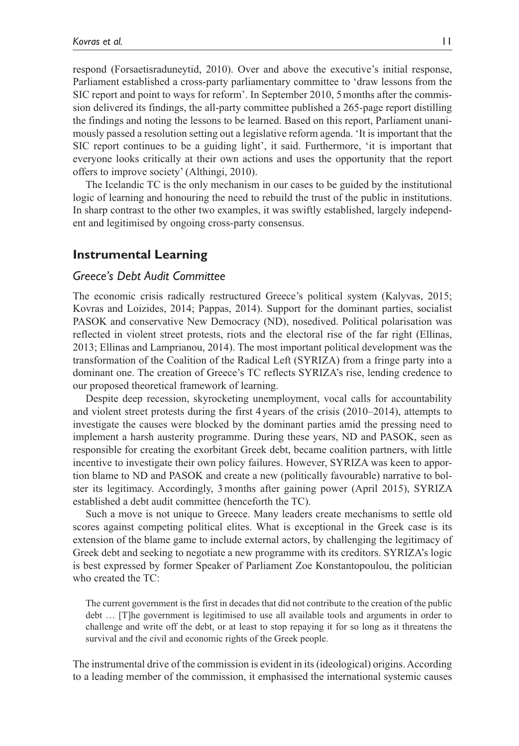respond (Forsaetisraduneytid, 2010). Over and above the executive's initial response, Parliament established a cross-party parliamentary committee to 'draw lessons from the SIC report and point to ways for reform'. In September 2010, 5months after the commission delivered its findings, the all-party committee published a 265-page report distilling the findings and noting the lessons to be learned. Based on this report, Parliament unanimously passed a resolution setting out a legislative reform agenda. 'It is important that the SIC report continues to be a guiding light', it said. Furthermore, 'it is important that everyone looks critically at their own actions and uses the opportunity that the report offers to improve society' (Althingi, 2010).

The Icelandic TC is the only mechanism in our cases to be guided by the institutional logic of learning and honouring the need to rebuild the trust of the public in institutions. In sharp contrast to the other two examples, it was swiftly established, largely independent and legitimised by ongoing cross-party consensus.

### **Instrumental Learning**

#### *Greece's Debt Audit Committee*

The economic crisis radically restructured Greece's political system (Kalyvas, 2015; Kovras and Loizides, 2014; Pappas, 2014). Support for the dominant parties, socialist PASOK and conservative New Democracy (ND), nosedived. Political polarisation was reflected in violent street protests, riots and the electoral rise of the far right (Ellinas, 2013; Ellinas and Lamprianou, 2014). The most important political development was the transformation of the Coalition of the Radical Left (SYRIZA) from a fringe party into a dominant one. The creation of Greece's TC reflects SYRIZA's rise, lending credence to our proposed theoretical framework of learning.

Despite deep recession, skyrocketing unemployment, vocal calls for accountability and violent street protests during the first 4 years of the crisis (2010–2014), attempts to investigate the causes were blocked by the dominant parties amid the pressing need to implement a harsh austerity programme. During these years, ND and PASOK, seen as responsible for creating the exorbitant Greek debt, became coalition partners, with little incentive to investigate their own policy failures. However, SYRIZA was keen to apportion blame to ND and PASOK and create a new (politically favourable) narrative to bolster its legitimacy. Accordingly, 3months after gaining power (April 2015), SYRIZA established a debt audit committee (henceforth the TC).

Such a move is not unique to Greece. Many leaders create mechanisms to settle old scores against competing political elites. What is exceptional in the Greek case is its extension of the blame game to include external actors, by challenging the legitimacy of Greek debt and seeking to negotiate a new programme with its creditors. SYRIZA's logic is best expressed by former Speaker of Parliament Zoe Konstantopoulou, the politician who created the TC:

The current government is the first in decades that did not contribute to the creation of the public debt … [T]he government is legitimised to use all available tools and arguments in order to challenge and write off the debt, or at least to stop repaying it for so long as it threatens the survival and the civil and economic rights of the Greek people.

The instrumental drive of the commission is evident in its (ideological) origins. According to a leading member of the commission, it emphasised the international systemic causes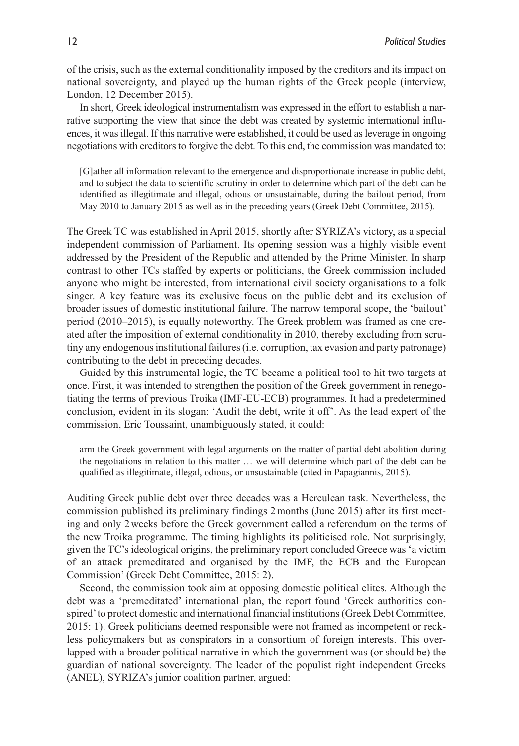of the crisis, such as the external conditionality imposed by the creditors and its impact on national sovereignty, and played up the human rights of the Greek people (interview, London, 12 December 2015).

In short, Greek ideological instrumentalism was expressed in the effort to establish a narrative supporting the view that since the debt was created by systemic international influences, it was illegal. If this narrative were established, it could be used as leverage in ongoing negotiations with creditors to forgive the debt. To this end, the commission was mandated to:

[G]ather all information relevant to the emergence and disproportionate increase in public debt, and to subject the data to scientific scrutiny in order to determine which part of the debt can be identified as illegitimate and illegal, odious or unsustainable, during the bailout period, from May 2010 to January 2015 as well as in the preceding years (Greek Debt Committee, 2015).

The Greek TC was established in April 2015, shortly after SYRIZA's victory, as a special independent commission of Parliament. Its opening session was a highly visible event addressed by the President of the Republic and attended by the Prime Minister. In sharp contrast to other TCs staffed by experts or politicians, the Greek commission included anyone who might be interested, from international civil society organisations to a folk singer. A key feature was its exclusive focus on the public debt and its exclusion of broader issues of domestic institutional failure. The narrow temporal scope, the 'bailout' period (2010–2015), is equally noteworthy. The Greek problem was framed as one created after the imposition of external conditionality in 2010, thereby excluding from scrutiny any endogenous institutional failures (i.e. corruption, tax evasion and party patronage) contributing to the debt in preceding decades.

Guided by this instrumental logic, the TC became a political tool to hit two targets at once. First, it was intended to strengthen the position of the Greek government in renegotiating the terms of previous Troika (IMF-EU-ECB) programmes. It had a predetermined conclusion, evident in its slogan: 'Audit the debt, write it off'. As the lead expert of the commission, Eric Toussaint, unambiguously stated, it could:

arm the Greek government with legal arguments on the matter of partial debt abolition during the negotiations in relation to this matter … we will determine which part of the debt can be qualified as illegitimate, illegal, odious, or unsustainable (cited in Papagiannis, 2015).

Auditing Greek public debt over three decades was a Herculean task. Nevertheless, the commission published its preliminary findings 2months (June 2015) after its first meeting and only 2weeks before the Greek government called a referendum on the terms of the new Troika programme. The timing highlights its politicised role. Not surprisingly, given the TC's ideological origins, the preliminary report concluded Greece was 'a victim of an attack premeditated and organised by the IMF, the ECB and the European Commission' (Greek Debt Committee, 2015: 2).

Second, the commission took aim at opposing domestic political elites. Although the debt was a 'premeditated' international plan, the report found 'Greek authorities conspired' to protect domestic and international financial institutions (Greek Debt Committee, 2015: 1). Greek politicians deemed responsible were not framed as incompetent or reckless policymakers but as conspirators in a consortium of foreign interests. This overlapped with a broader political narrative in which the government was (or should be) the guardian of national sovereignty. The leader of the populist right independent Greeks (ANEL), SYRIZA's junior coalition partner, argued: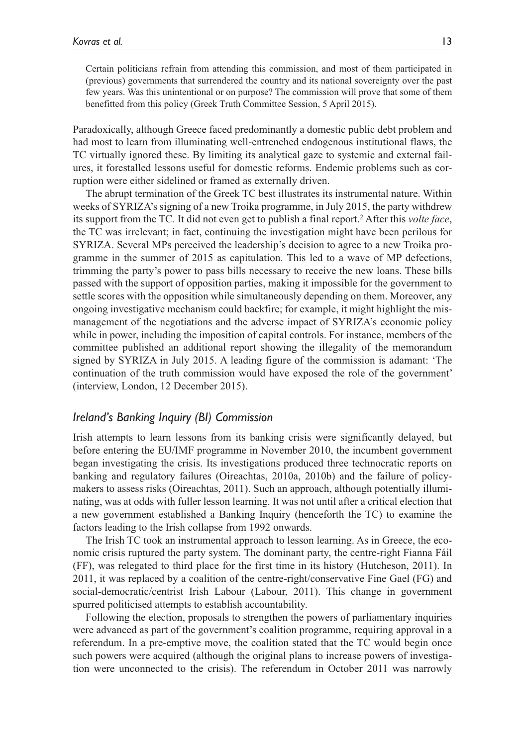Certain politicians refrain from attending this commission, and most of them participated in (previous) governments that surrendered the country and its national sovereignty over the past few years. Was this unintentional or on purpose? The commission will prove that some of them benefitted from this policy (Greek Truth Committee Session, 5 April 2015).

Paradoxically, although Greece faced predominantly a domestic public debt problem and had most to learn from illuminating well-entrenched endogenous institutional flaws, the TC virtually ignored these. By limiting its analytical gaze to systemic and external failures, it forestalled lessons useful for domestic reforms. Endemic problems such as corruption were either sidelined or framed as externally driven.

The abrupt termination of the Greek TC best illustrates its instrumental nature. Within weeks of SYRIZA's signing of a new Troika programme, in July 2015, the party withdrew its support from the TC. It did not even get to publish a final report.2 After this *volte face*, the TC was irrelevant; in fact, continuing the investigation might have been perilous for SYRIZA. Several MPs perceived the leadership's decision to agree to a new Troika programme in the summer of 2015 as capitulation. This led to a wave of MP defections, trimming the party's power to pass bills necessary to receive the new loans. These bills passed with the support of opposition parties, making it impossible for the government to settle scores with the opposition while simultaneously depending on them. Moreover, any ongoing investigative mechanism could backfire; for example, it might highlight the mismanagement of the negotiations and the adverse impact of SYRIZA's economic policy while in power, including the imposition of capital controls. For instance, members of the committee published an additional report showing the illegality of the memorandum signed by SYRIZA in July 2015. A leading figure of the commission is adamant: 'The continuation of the truth commission would have exposed the role of the government' (interview, London, 12 December 2015).

#### *Ireland's Banking Inquiry (BI) Commission*

Irish attempts to learn lessons from its banking crisis were significantly delayed, but before entering the EU/IMF programme in November 2010, the incumbent government began investigating the crisis. Its investigations produced three technocratic reports on banking and regulatory failures (Oireachtas, 2010a, 2010b) and the failure of policymakers to assess risks (Oireachtas, 2011). Such an approach, although potentially illuminating, was at odds with fuller lesson learning. It was not until after a critical election that a new government established a Banking Inquiry (henceforth the TC) to examine the factors leading to the Irish collapse from 1992 onwards.

The Irish TC took an instrumental approach to lesson learning. As in Greece, the economic crisis ruptured the party system. The dominant party, the centre-right Fianna Fáil (FF), was relegated to third place for the first time in its history (Hutcheson, 2011). In 2011, it was replaced by a coalition of the centre-right/conservative Fine Gael (FG) and social-democratic/centrist Irish Labour (Labour, 2011). This change in government spurred politicised attempts to establish accountability.

Following the election, proposals to strengthen the powers of parliamentary inquiries were advanced as part of the government's coalition programme, requiring approval in a referendum. In a pre-emptive move, the coalition stated that the TC would begin once such powers were acquired (although the original plans to increase powers of investigation were unconnected to the crisis). The referendum in October 2011 was narrowly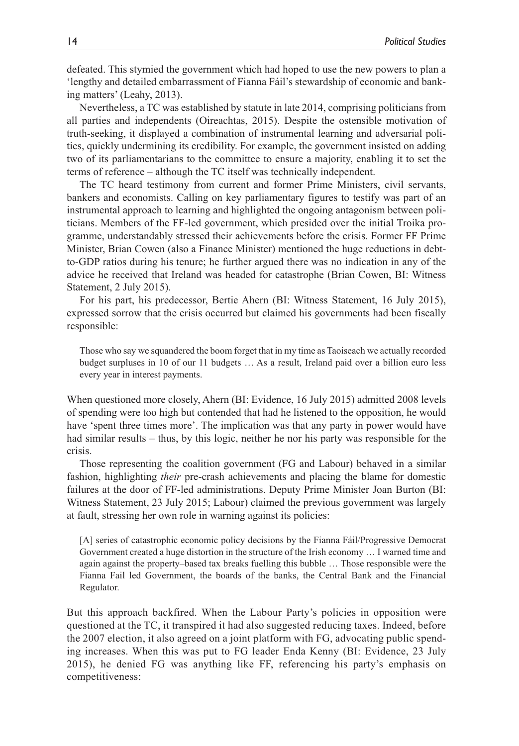defeated. This stymied the government which had hoped to use the new powers to plan a 'lengthy and detailed embarrassment of Fianna Fáil's stewardship of economic and banking matters' (Leahy, 2013).

Nevertheless, a TC was established by statute in late 2014, comprising politicians from all parties and independents (Oireachtas, 2015). Despite the ostensible motivation of truth-seeking, it displayed a combination of instrumental learning and adversarial politics, quickly undermining its credibility. For example, the government insisted on adding two of its parliamentarians to the committee to ensure a majority, enabling it to set the terms of reference – although the TC itself was technically independent.

The TC heard testimony from current and former Prime Ministers, civil servants, bankers and economists. Calling on key parliamentary figures to testify was part of an instrumental approach to learning and highlighted the ongoing antagonism between politicians. Members of the FF-led government, which presided over the initial Troika programme, understandably stressed their achievements before the crisis. Former FF Prime Minister, Brian Cowen (also a Finance Minister) mentioned the huge reductions in debtto-GDP ratios during his tenure; he further argued there was no indication in any of the advice he received that Ireland was headed for catastrophe (Brian Cowen, BI: Witness Statement, 2 July 2015).

For his part, his predecessor, Bertie Ahern (BI: Witness Statement, 16 July 2015), expressed sorrow that the crisis occurred but claimed his governments had been fiscally responsible:

Those who say we squandered the boom forget that in my time as Taoiseach we actually recorded budget surpluses in 10 of our 11 budgets … As a result, Ireland paid over a billion euro less every year in interest payments.

When questioned more closely, Ahern (BI: Evidence, 16 July 2015) admitted 2008 levels of spending were too high but contended that had he listened to the opposition, he would have 'spent three times more'. The implication was that any party in power would have had similar results – thus, by this logic, neither he nor his party was responsible for the crisis.

Those representing the coalition government (FG and Labour) behaved in a similar fashion, highlighting *their* pre-crash achievements and placing the blame for domestic failures at the door of FF-led administrations. Deputy Prime Minister Joan Burton (BI: Witness Statement, 23 July 2015; Labour) claimed the previous government was largely at fault, stressing her own role in warning against its policies:

[A] series of catastrophic economic policy decisions by the Fianna Fáil/Progressive Democrat Government created a huge distortion in the structure of the Irish economy … I warned time and again against the property–based tax breaks fuelling this bubble … Those responsible were the Fianna Fail led Government, the boards of the banks, the Central Bank and the Financial Regulator.

But this approach backfired. When the Labour Party's policies in opposition were questioned at the TC, it transpired it had also suggested reducing taxes. Indeed, before the 2007 election, it also agreed on a joint platform with FG, advocating public spending increases. When this was put to FG leader Enda Kenny (BI: Evidence, 23 July 2015), he denied FG was anything like FF, referencing his party's emphasis on competitiveness: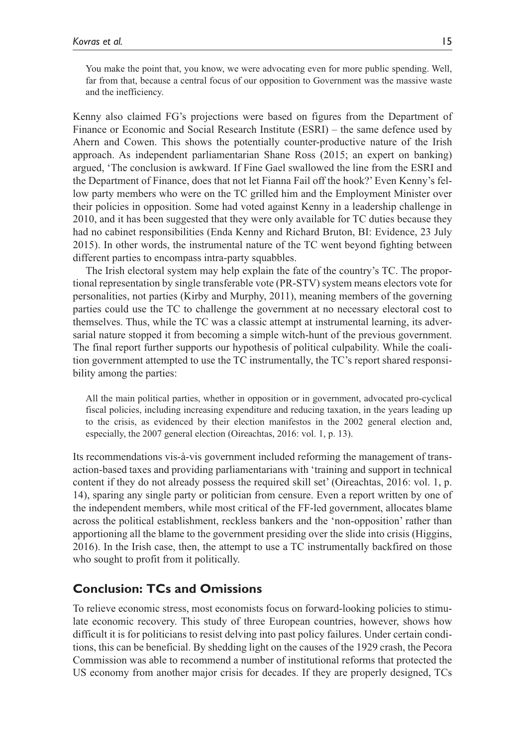You make the point that, you know, we were advocating even for more public spending. Well, far from that, because a central focus of our opposition to Government was the massive waste and the inefficiency.

Kenny also claimed FG's projections were based on figures from the Department of Finance or Economic and Social Research Institute (ESRI) – the same defence used by Ahern and Cowen. This shows the potentially counter-productive nature of the Irish approach. As independent parliamentarian Shane Ross (2015; an expert on banking) argued, 'The conclusion is awkward. If Fine Gael swallowed the line from the ESRI and the Department of Finance, does that not let Fianna Fail off the hook?' Even Kenny's fellow party members who were on the TC grilled him and the Employment Minister over their policies in opposition. Some had voted against Kenny in a leadership challenge in 2010, and it has been suggested that they were only available for TC duties because they had no cabinet responsibilities (Enda Kenny and Richard Bruton, BI: Evidence, 23 July 2015). In other words, the instrumental nature of the TC went beyond fighting between different parties to encompass intra-party squabbles.

The Irish electoral system may help explain the fate of the country's TC. The proportional representation by single transferable vote (PR-STV) system means electors vote for personalities, not parties (Kirby and Murphy, 2011), meaning members of the governing parties could use the TC to challenge the government at no necessary electoral cost to themselves. Thus, while the TC was a classic attempt at instrumental learning, its adversarial nature stopped it from becoming a simple witch-hunt of the previous government. The final report further supports our hypothesis of political culpability. While the coalition government attempted to use the TC instrumentally, the TC's report shared responsibility among the parties:

All the main political parties, whether in opposition or in government, advocated pro-cyclical fiscal policies, including increasing expenditure and reducing taxation, in the years leading up to the crisis, as evidenced by their election manifestos in the 2002 general election and, especially, the 2007 general election (Oireachtas, 2016: vol. 1, p. 13).

Its recommendations vis-à-vis government included reforming the management of transaction-based taxes and providing parliamentarians with 'training and support in technical content if they do not already possess the required skill set' (Oireachtas, 2016: vol. 1, p. 14), sparing any single party or politician from censure. Even a report written by one of the independent members, while most critical of the FF-led government, allocates blame across the political establishment, reckless bankers and the 'non-opposition' rather than apportioning all the blame to the government presiding over the slide into crisis (Higgins, 2016). In the Irish case, then, the attempt to use a TC instrumentally backfired on those who sought to profit from it politically.

# **Conclusion: TCs and Omissions**

To relieve economic stress, most economists focus on forward-looking policies to stimulate economic recovery. This study of three European countries, however, shows how difficult it is for politicians to resist delving into past policy failures. Under certain conditions, this can be beneficial. By shedding light on the causes of the 1929 crash, the Pecora Commission was able to recommend a number of institutional reforms that protected the US economy from another major crisis for decades. If they are properly designed, TCs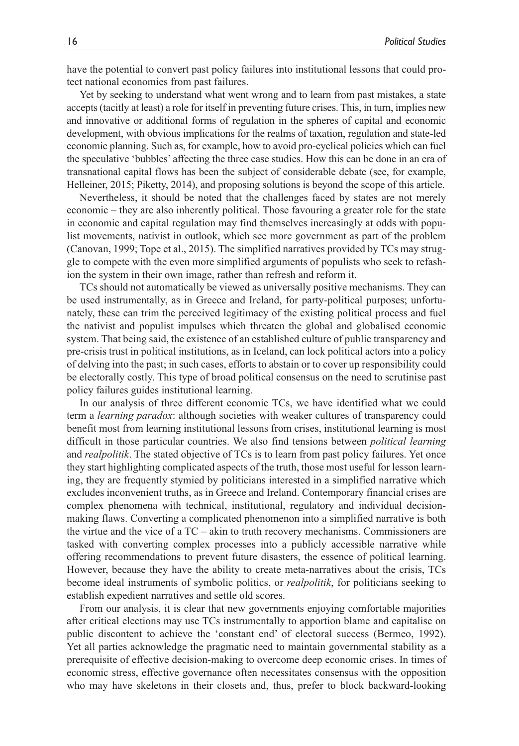have the potential to convert past policy failures into institutional lessons that could protect national economies from past failures.

Yet by seeking to understand what went wrong and to learn from past mistakes, a state accepts (tacitly at least) a role for itself in preventing future crises. This, in turn, implies new and innovative or additional forms of regulation in the spheres of capital and economic development, with obvious implications for the realms of taxation, regulation and state-led economic planning. Such as, for example, how to avoid pro-cyclical policies which can fuel the speculative 'bubbles' affecting the three case studies. How this can be done in an era of transnational capital flows has been the subject of considerable debate (see, for example, Helleiner, 2015; Piketty, 2014), and proposing solutions is beyond the scope of this article.

Nevertheless, it should be noted that the challenges faced by states are not merely economic – they are also inherently political. Those favouring a greater role for the state in economic and capital regulation may find themselves increasingly at odds with populist movements, nativist in outlook, which see more government as part of the problem (Canovan, 1999; Tope et al., 2015). The simplified narratives provided by TCs may struggle to compete with the even more simplified arguments of populists who seek to refashion the system in their own image, rather than refresh and reform it.

TCs should not automatically be viewed as universally positive mechanisms. They can be used instrumentally, as in Greece and Ireland, for party-political purposes; unfortunately, these can trim the perceived legitimacy of the existing political process and fuel the nativist and populist impulses which threaten the global and globalised economic system. That being said, the existence of an established culture of public transparency and pre-crisis trust in political institutions, as in Iceland, can lock political actors into a policy of delving into the past; in such cases, efforts to abstain or to cover up responsibility could be electorally costly. This type of broad political consensus on the need to scrutinise past policy failures guides institutional learning.

In our analysis of three different economic TCs, we have identified what we could term a *learning paradox*: although societies with weaker cultures of transparency could benefit most from learning institutional lessons from crises, institutional learning is most difficult in those particular countries. We also find tensions between *political learning* and *realpolitik*. The stated objective of TCs is to learn from past policy failures. Yet once they start highlighting complicated aspects of the truth, those most useful for lesson learning, they are frequently stymied by politicians interested in a simplified narrative which excludes inconvenient truths, as in Greece and Ireland. Contemporary financial crises are complex phenomena with technical, institutional, regulatory and individual decisionmaking flaws. Converting a complicated phenomenon into a simplified narrative is both the virtue and the vice of a TC – akin to truth recovery mechanisms. Commissioners are tasked with converting complex processes into a publicly accessible narrative while offering recommendations to prevent future disasters, the essence of political learning. However, because they have the ability to create meta-narratives about the crisis, TCs become ideal instruments of symbolic politics, or *realpolitik*, for politicians seeking to establish expedient narratives and settle old scores.

From our analysis, it is clear that new governments enjoying comfortable majorities after critical elections may use TCs instrumentally to apportion blame and capitalise on public discontent to achieve the 'constant end' of electoral success (Bermeo, 1992). Yet all parties acknowledge the pragmatic need to maintain governmental stability as a prerequisite of effective decision-making to overcome deep economic crises. In times of economic stress, effective governance often necessitates consensus with the opposition who may have skeletons in their closets and, thus, prefer to block backward-looking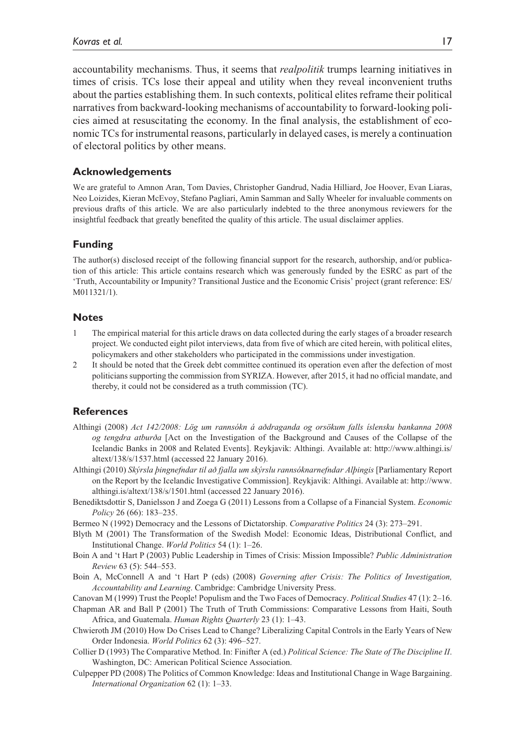accountability mechanisms. Thus, it seems that *realpolitik* trumps learning initiatives in times of crisis. TCs lose their appeal and utility when they reveal inconvenient truths about the parties establishing them. In such contexts, political elites reframe their political narratives from backward-looking mechanisms of accountability to forward-looking policies aimed at resuscitating the economy. In the final analysis, the establishment of economic TCs for instrumental reasons, particularly in delayed cases, is merely a continuation of electoral politics by other means.

#### **Acknowledgements**

We are grateful to Amnon Aran, Tom Davies, Christopher Gandrud, Nadia Hilliard, Joe Hoover, Evan Liaras, Neo Loizides, Kieran McEvoy, Stefano Pagliari, Amin Samman and Sally Wheeler for invaluable comments on previous drafts of this article. We are also particularly indebted to the three anonymous reviewers for the insightful feedback that greatly benefited the quality of this article. The usual disclaimer applies.

#### **Funding**

The author(s) disclosed receipt of the following financial support for the research, authorship, and/or publication of this article: This article contains research which was generously funded by the ESRC as part of the 'Truth, Accountability or Impunity? Transitional Justice and the Economic Crisis' project (grant reference: ES/ M011321/1).

#### **Notes**

- 1 The empirical material for this article draws on data collected during the early stages of a broader research project. We conducted eight pilot interviews, data from five of which are cited herein, with political elites, policymakers and other stakeholders who participated in the commissions under investigation.
- 2 It should be noted that the Greek debt committee continued its operation even after the defection of most politicians supporting the commission from SYRIZA. However, after 2015, it had no official mandate, and thereby, it could not be considered as a truth commission (TC).

#### **References**

- Althingi (2008) *Act 142/2008: Lög um rannsókn á aðdraganda og orsökum falls íslensku bankanna 2008 og tengdra atburða* [Act on the Investigation of the Background and Causes of the Collapse of the Icelandic Banks in 2008 and Related Events]. Reykjavik: Althingi. Available at: [http://www.althingi.is/](http://www.althingi.is/altext/138/s/1537.html) [altext/138/s/1537.html](http://www.althingi.is/altext/138/s/1537.html) (accessed 22 January 2016).
- Althingi (2010) *Skýrsla þingnefndar til að fjalla um skýrslu rannsóknarnefndar Alþingis* [Parliamentary Report on the Report by the Icelandic Investigative Commission]. Reykjavik: Althingi. Available at: [http://www.](http://www.althingi.is/altext/138/s/1501.html) [althingi.is/altext/138/s/1501.html](http://www.althingi.is/altext/138/s/1501.html) (accessed 22 January 2016).
- Benediktsdottir S, Danielsson J and Zoega G (2011) Lessons from a Collapse of a Financial System. *Economic Policy* 26 (66): 183–235.
- Bermeo N (1992) Democracy and the Lessons of Dictatorship. *Comparative Politics* 24 (3): 273–291.
- Blyth M (2001) The Transformation of the Swedish Model: Economic Ideas, Distributional Conflict, and Institutional Change. *World Politics* 54 (1): 1–26.
- Boin A and 't Hart P (2003) Public Leadership in Times of Crisis: Mission Impossible? *Public Administration Review* 63 (5): 544–553.
- Boin A, McConnell A and 't Hart P (eds) (2008) *Governing after Crisis: The Politics of Investigation, Accountability and Learning*. Cambridge: Cambridge University Press.

Canovan M (1999) Trust the People! Populism and the Two Faces of Democracy. *Political Studies* 47 (1): 2–16.

- Chapman AR and Ball P (2001) The Truth of Truth Commissions: Comparative Lessons from Haiti, South Africa, and Guatemala. *Human Rights Quarterly* 23 (1): 1–43.
- Chwieroth JM (2010) How Do Crises Lead to Change? Liberalizing Capital Controls in the Early Years of New Order Indonesia. *World Politics* 62 (3): 496–527.
- Collier D (1993) The Comparative Method. In: Finifter A (ed.) *Political Science: The State of The Discipline II*. Washington, DC: American Political Science Association.
- Culpepper PD (2008) The Politics of Common Knowledge: Ideas and Institutional Change in Wage Bargaining. *International Organization* 62 (1): 1–33.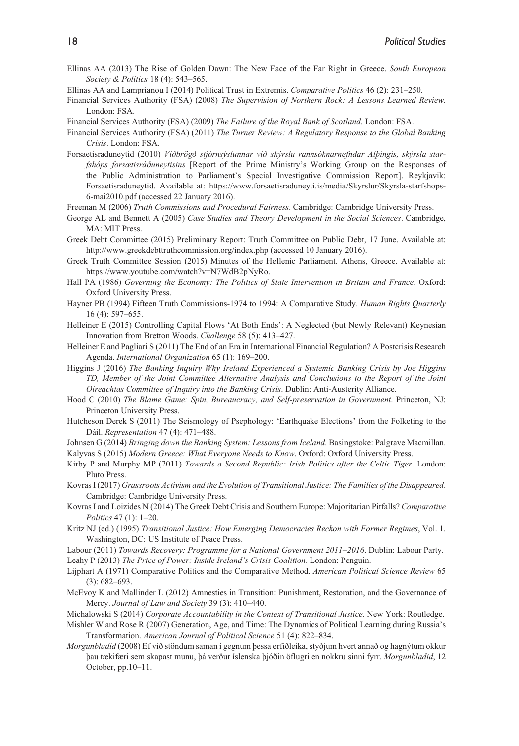Ellinas AA (2013) The Rise of Golden Dawn: The New Face of the Far Right in Greece. *South European Society & Politics* 18 (4): 543–565.

Ellinas AA and Lamprianou I (2014) Political Trust in Extremis. *Comparative Politics* 46 (2): 231–250.

Financial Services Authority (FSA) (2008) *The Supervision of Northern Rock: A Lessons Learned Review*. London: FSA.

Financial Services Authority (FSA) (2009) *The Failure of the Royal Bank of Scotland*. London: FSA.

- Financial Services Authority (FSA) (2011) *The Turner Review: A Regulatory Response to the Global Banking Crisis*. London: FSA.
- Forsaetisraduneytid (2010) *Viðbrögð stjórnsýslunnar við skýrslu rannsóknarnefndar Alþingis, skýrsla starfshóps forsætisráðuneytisins* [Report of the Prime Ministry's Working Group on the Responses of the Public Administration to Parliament's Special Investigative Commission Report]. Reykjavik: Forsaetisraduneytid. Available at: [https://www.forsaetisraduneyti.is/media/Skyrslur/Skyrsla-starfshops-](https://www.forsaetisraduneyti.is/media/Skyrslur/Skyrsla-starfshops-6-mai2010.pdf)[6-mai2010.pdf](https://www.forsaetisraduneyti.is/media/Skyrslur/Skyrsla-starfshops-6-mai2010.pdf) (accessed 22 January 2016).

Freeman M (2006) *Truth Commissions and Procedural Fairness*. Cambridge: Cambridge University Press.

- George AL and Bennett A (2005) *Case Studies and Theory Development in the Social Sciences*. Cambridge, MA: MIT Press.
- Greek Debt Committee (2015) Preliminary Report: Truth Committee on Public Debt, 17 June. Available at: <http://www.greekdebttruthcommission.org/index.php>(accessed 10 January 2016).
- Greek Truth Committee Session (2015) Minutes of the Hellenic Parliament. Athens, Greece. Available at: [https://www.youtube.com/watch?v=N7WdB2pNyRo.](https://www.youtube.com/watch?v=N7WdB2pNyRo)
- Hall PA (1986) *Governing the Economy: The Politics of State Intervention in Britain and France*. Oxford: Oxford University Press.
- Hayner PB (1994) Fifteen Truth Commissions-1974 to 1994: A Comparative Study. *Human Rights Quarterly* 16 (4): 597–655.
- Helleiner E (2015) Controlling Capital Flows 'At Both Ends': A Neglected (but Newly Relevant) Keynesian Innovation from Bretton Woods. *Challenge* 58 (5): 413–427.
- Helleiner E and Pagliari S (2011) The End of an Era in International Financial Regulation? A Postcrisis Research Agenda. *International Organization* 65 (1): 169–200.
- Higgins J (2016) *The Banking Inquiry Why Ireland Experienced a Systemic Banking Crisis by Joe Higgins TD, Member of the Joint Committee Alternative Analysis and Conclusions to the Report of the Joint Oireachtas Committee of Inquiry into the Banking Crisis*. Dublin: Anti-Austerity Alliance.
- Hood C (2010) *The Blame Game: Spin, Bureaucracy, and Self-preservation in Government*. Princeton, NJ: Princeton University Press.
- Hutcheson Derek S (2011) The Seismology of Psephology: 'Earthquake Elections' from the Folketing to the Dáil. *Representation* 47 (4): 471–488.
- Johnsen G (2014) *Bringing down the Banking System: Lessons from Iceland*. Basingstoke: Palgrave Macmillan.

Kalyvas S (2015) *Modern Greece: What Everyone Needs to Know*. Oxford: Oxford University Press.

- Kirby P and Murphy MP (2011) *Towards a Second Republic: Irish Politics after the Celtic Tiger*. London: Pluto Press.
- Kovras I (2017) *Grassroots Activism and the Evolution of Transitional Justice: The Families of the Disappeared*. Cambridge: Cambridge University Press.
- Kovras I and Loizides N (2014) The Greek Debt Crisis and Southern Europe: Majoritarian Pitfalls? *Comparative Politics* 47 (1): 1–20.
- Kritz NJ (ed.) (1995) *Transitional Justice: How Emerging Democracies Reckon with Former Regimes*, Vol. 1. Washington, DC: US Institute of Peace Press.

Labour (2011) *Towards Recovery: Programme for a National Government 2011–2016*. Dublin: Labour Party. Leahy P (2013) *The Price of Power: Inside Ireland's Crisis Coalition*. London: Penguin.

Lijphart A (1971) Comparative Politics and the Comparative Method. *American Political Science Review* 65 (3): 682–693.

McEvoy K and Mallinder L (2012) Amnesties in Transition: Punishment, Restoration, and the Governance of Mercy. *Journal of Law and Society* 39 (3): 410–440.

Michalowski S (2014) *Corporate Accountability in the Context of Transitional Justice*. New York: Routledge.

- Mishler W and Rose R (2007) Generation, Age, and Time: The Dynamics of Political Learning during Russia's Transformation. *American Journal of Political Science* 51 (4): 822–834.
- *Morgunbladid* (2008) Ef við stöndum saman í gegnum þessa erfiðleika, styðjum hvert annað og hagnýtum okkur þau tækifæri sem skapast munu, þá verður íslenska þjóðin öflugri en nokkru sinni fyrr. *Morgunbladid*, 12 October, pp.10–11.